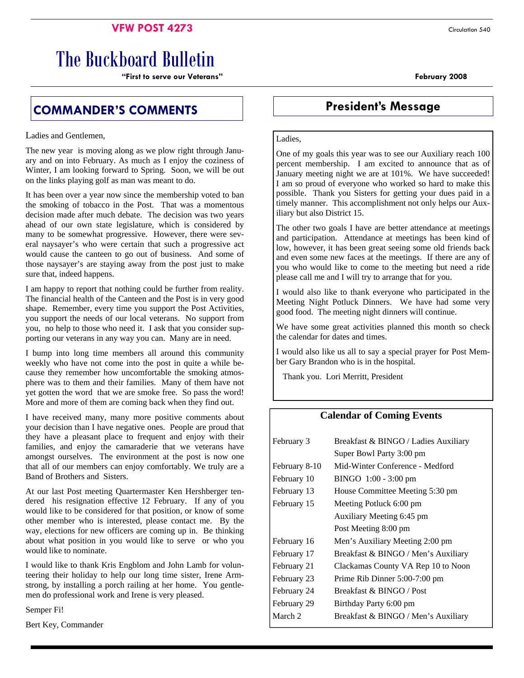### **VFW POST 4273** Circulation 540

# The Buckboard Bulletin

**"First to serve our Veterans" February 2008** 

# **COMMANDER'S COMMENTS COMMENTS** President's Message

Ladies and Gentlemen,

The new year is moving along as we plow right through January and on into February. As much as I enjoy the coziness of Winter, I am looking forward to Spring. Soon, we will be out on the links playing golf as man was meant to do.

It has been over a year now since the membership voted to ban the smoking of tobacco in the Post. That was a momentous decision made after much debate. The decision was two years ahead of our own state legislature, which is considered by many to be somewhat progressive. However, there were several naysayer's who were certain that such a progressive act would cause the canteen to go out of business. And some of those naysayer's are staying away from the post just to make sure that, indeed happens.

I am happy to report that nothing could be further from reality. The financial health of the Canteen and the Post is in very good shape. Remember, every time you support the Post Activities, you support the needs of our local veterans. No support from you, no help to those who need it. I ask that you consider supporting our veterans in any way you can. Many are in need.

I bump into long time members all around this community weekly who have not come into the post in quite a while because they remember how uncomfortable the smoking atmosphere was to them and their families. Many of them have not yet gotten the word that we are smoke free. So pass the word! More and more of them are coming back when they find out.

I have received many, many more positive comments about your decision than I have negative ones. People are proud that they have a pleasant place to frequent and enjoy with their families, and enjoy the camaraderie that we veterans have amongst ourselves. The environment at the post is now one that all of our members can enjoy comfortably. We truly are a Band of Brothers and Sisters.

At our last Post meeting Quartermaster Ken Hershberger tendered his resignation effective 12 February. If any of you would like to be considered for that position, or know of some other member who is interested, please contact me. By the way, elections for new officers are coming up in. Be thinking about what position in you would like to serve or who you would like to nominate.

I would like to thank Kris Engblom and John Lamb for volunteering their holiday to help our long time sister, Irene Armstrong, by installing a porch railing at her home. You gentlemen do professional work and Irene is very pleased.

Semper Fi!

Bert Key, Commander

#### Ladies,

One of my goals this year was to see our Auxiliary reach 100 percent membership. I am excited to announce that as of January meeting night we are at 101%. We have succeeded! I am so proud of everyone who worked so hard to make this possible. Thank you Sisters for getting your dues paid in a timely manner. This accomplishment not only helps our Auxiliary but also District 15.

The other two goals I have are better attendance at meetings and participation. Attendance at meetings has been kind of low, however, it has been great seeing some old friends back and even some new faces at the meetings. If there are any of you who would like to come to the meeting but need a ride please call me and I will try to arrange that for you.

I would also like to thank everyone who participated in the Meeting Night Potluck Dinners. We have had some very good food. The meeting night dinners will continue.

We have some great activities planned this month so check the calendar for dates and times.

I would also like us all to say a special prayer for Post Member Gary Brandon who is in the hospital.

Thank you. Lori Merritt, President

#### **Calendar of Coming Events**

| February 3         | Breakfast & BINGO / Ladies Auxiliary |  |  |
|--------------------|--------------------------------------|--|--|
|                    | Super Bowl Party 3:00 pm             |  |  |
| February 8-10      | Mid-Winter Conference - Medford      |  |  |
| February 10        | BINGO 1:00 - 3:00 pm                 |  |  |
| February 13        | House Committee Meeting 5:30 pm      |  |  |
| February 15        | Meeting Potluck 6:00 pm              |  |  |
|                    | Auxiliary Meeting 6:45 pm            |  |  |
|                    | Post Meeting 8:00 pm                 |  |  |
| February 16        | Men's Auxiliary Meeting 2:00 pm      |  |  |
| February 17        | Breakfast & BINGO / Men's Auxiliary  |  |  |
| February 21        | Clackamas County VA Rep 10 to Noon   |  |  |
| February 23        | Prime Rib Dinner 5:00-7:00 pm        |  |  |
| February 24        | Breakfast & BINGO / Post             |  |  |
| February 29        | Birthday Party 6:00 pm               |  |  |
| March <sub>2</sub> | Breakfast & BINGO / Men's Auxiliary  |  |  |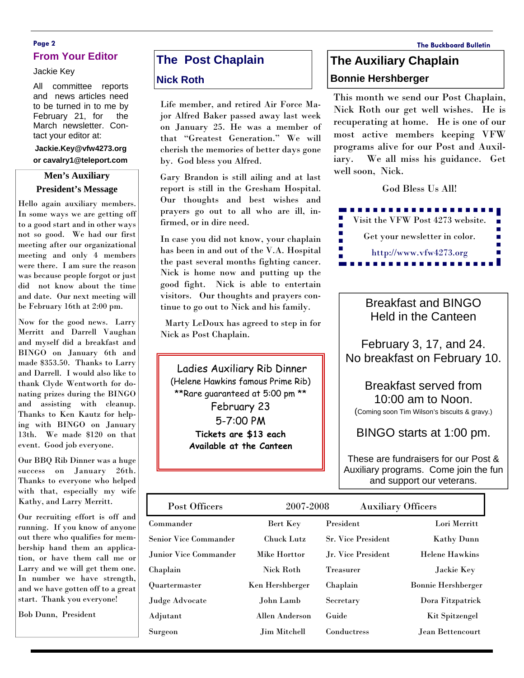#### **Page 2 The Buckboard Bulletin From Your Editor**

#### Jackie Key

All committee reports and news articles need to be turned in to me by February 21, for the March newsletter. Contact your editor at:

**Jackie.Key@vfw4273.org or cavalry1@teleport.com** 

#### **Men's Auxiliary President's Message**

Hello again auxiliary members. In some ways we are getting off to a good start and in other ways not so good. We had our first meeting after our organizational meeting and only 4 members were there. I am sure the reason was because people forgot or just did not know about the time and date. Our next meeting will be February 16th at 2:00 pm.

Now for the good news. Larry Merritt and Darrell Vaughan and myself did a breakfast and BINGO on January 6th and made \$353.50. Thanks to Larry and Darrell. I would also like to thank Clyde Wentworth for donating prizes during the BINGO and assisting with cleanup. Thanks to Ken Kautz for helping with BINGO on January 13th. We made \$120 on that event. Good job everyone.

Our BBQ Rib Dinner was a huge success on January 26th. Thanks to everyone who helped with that, especially my wife Kathy, and Larry Merritt.

Our recruiting effort is off and running. If you know of anyone out there who qualifies for membership hand them an application, or have them call me or Larry and we will get them one. In number we have strength, and we have gotten off to a great start. Thank you everyone!

Bob Dunn, President

# **The Post Chaplain**

#### **Nick Roth**

Life member, and retired Air Force Major Alfred Baker passed away last week on January 25. He was a member of that "Greatest Generation." We will cherish the memories of better days gone by. God bless you Alfred.

Gary Brandon is still ailing and at last report is still in the Gresham Hospital. Our thoughts and best wishes and prayers go out to all who are ill, infirmed, or in dire need.

In case you did not know, your chaplain has been in and out of the V.A. Hospital the past several months fighting cancer. Nick is home now and putting up the good fight. Nick is able to entertain visitors. Our thoughts and prayers continue to go out to Nick and his family.

 Marty LeDoux has agreed to step in for Nick as Post Chaplain.

 Ladies Auxiliary Rib Dinner (Helene Hawkins famous Prime Rib) \*\*Rare guaranteed at 5:00 pm \*\* February 23 5-7:00 PM **Tickets are \$13 each Available at the Canteen** 

# **The Auxiliary Chaplain Bonnie Hershberger**

This month we send our Post Chaplain, Nick Roth our get well wishes. He is recuperating at home. He is one of our most active members keeping VFW programs alive for our Post and Auxiliary. We all miss his guidance. Get well soon, Nick.

God Bless Us All!



Breakfast and BINGO Held in the Canteen

February 3, 17, and 24. No breakfast on February 10.

Breakfast served from 10:00 am to Noon. (Coming soon Tim Wilson's biscuits & gravy.)

BINGO starts at 1:00 pm.

These are fundraisers for our Post & Auxiliary programs. Come join the fun and support our veterans.

| Post Officers                | 2007-2008         | <b>Auxiliary Officers</b> |                           |
|------------------------------|-------------------|---------------------------|---------------------------|
| Commander                    | Bert Key          | President                 | Lori Merritt              |
| <b>Senior Vice Commander</b> | <b>Chuck Lutz</b> | <b>Sr. Vice President</b> | <b>Kathy Dunn</b>         |
| Junior Vice Commander        | Mike Horttor      | Jr. Vice President        | <b>Helene Hawkins</b>     |
| Chaplain                     | <b>Nick Roth</b>  | <b>Treasurer</b>          | Jackie Key                |
| Quartermaster                | Ken Hershberger   | Chaplain                  | <b>Bonnie Hershberger</b> |
| Judge Advocate               | John Lamb         | Secretary                 | Dora Fitzpatrick          |
| Adjutant                     | Allen Anderson    | Guide                     | <b>Kit Spitzengel</b>     |
| Surgeon                      | Jim Mitchell      | Conductress               | Jean Bettencourt          |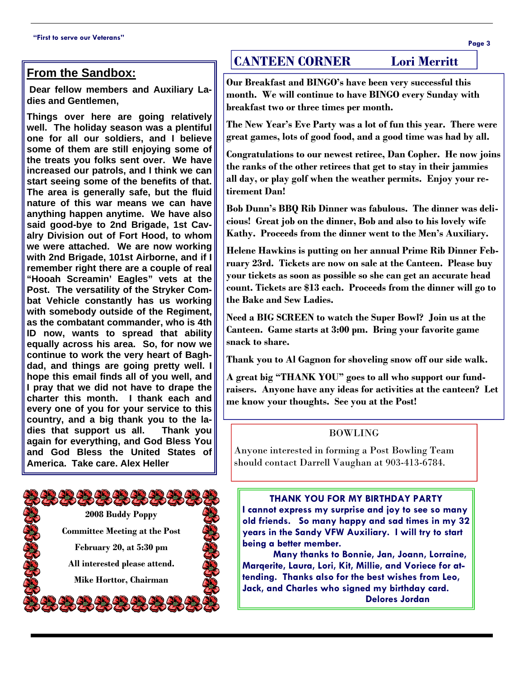## **From the Sandbox:**

 **Dear fellow members and Auxiliary Ladies and Gentlemen,** 

**Things over here are going relatively well. The holiday season was a plentiful one for all our soldiers, and I believe some of them are still enjoying some of the treats you folks sent over. We have increased our patrols, and I think we can start seeing some of the benefits of that. The area is generally safe, but the fluid nature of this war means we can have anything happen anytime. We have also said good-bye to 2nd Brigade, 1st Cavalry Division out of Fort Hood, to whom we were attached. We are now working with 2nd Brigade, 101st Airborne, and if I remember right there are a couple of real "Hooah Screamin' Eagles" vets at the Post. The versatility of the Stryker Combat Vehicle constantly has us working with somebody outside of the Regiment, as the combatant commander, who is 4th ID now, wants to spread that ability equally across his area. So, for now we continue to work the very heart of Baghdad, and things are going pretty well. I hope this email finds all of you well, and I pray that we did not have to drape the charter this month. I thank each and every one of you for your service to this country, and a big thank you to the ladies that support us all. Thank you again for everything, and God Bless You and God Bless the United States of America. Take care. Alex Heller** 



## **CANTEEN CORNER Lori Merritt**

**Our Breakfast and BINGO's have been very successful this month. We will continue to have BINGO every Sunday with breakfast two or three times per month.** 

**The New Year's Eve Party was a lot of fun this year. There were great games, lots of good food, and a good time was had by all.** 

**Congratulations to our newest retiree, Dan Copher. He now joins the ranks of the other retirees that get to stay in their jammies all day, or play golf when the weather permits. Enjoy your retirement Dan!** 

**Bob Dunn's BBQ Rib Dinner was fabulous. The dinner was delicious! Great job on the dinner, Bob and also to his lovely wife Kathy. Proceeds from the dinner went to the Men's Auxiliary.** 

**Helene Hawkins is putting on her annual Prime Rib Dinner February 23rd. Tickets are now on sale at the Canteen. Please buy your tickets as soon as possible so she can get an accurate head count. Tickets are \$13 each. Proceeds from the dinner will go to the Bake and Sew Ladies.** 

**Need a BIG SCREEN to watch the Super Bowl? Join us at the Canteen. Game starts at 3:00 pm. Bring your favorite game snack to share.** 

**Thank you to Al Gagnon for shoveling snow off our side walk.** 

**A great big "THANK YOU" goes to all who support our fundraisers. Anyone have any ideas for activities at the canteen? Let me know your thoughts. See you at the Post!** 

#### BOWLING

Anyone interested in forming a Post Bowling Team should contact Darrell Vaughan at 903-413-6784.

**THANK YOU FOR MY BIRTHDAY PARTY** 

**I cannot express my surprise and joy to see so many old friends. So many happy and sad times in my 32 years in the Sandy VFW Auxiliary. I will try to start being a better member.** 

 **Many thanks to Bonnie, Jan, Joann, Lorraine, Marqerite, Laura, Lori, Kit, Millie, and Voriece for attending. Thanks also for the best wishes from Leo, Jack, and Charles who signed my birthday card. Delores Jordan**